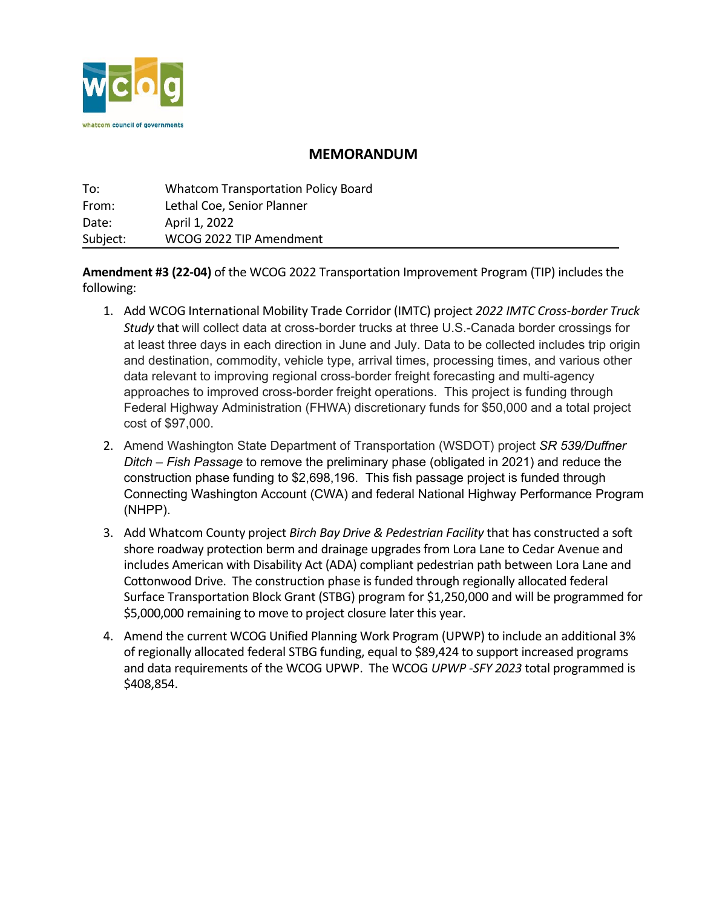

## **MEMORANDUM**

| To:      | <b>Whatcom Transportation Policy Board</b> |
|----------|--------------------------------------------|
| From:    | Lethal Coe, Senior Planner                 |
| Date:    | April 1, 2022                              |
| Subject: | WCOG 2022 TIP Amendment                    |

**Amendment #3 (22-04)** of the WCOG 2022 Transportation Improvement Program (TIP) includes the following:

- 1. Add WCOG International Mobility Trade Corridor (IMTC) project *2022 IMTC Cross-border Truck Study* that will collect data at cross-border trucks at three U.S.-Canada border crossings for at least three days in each direction in June and July. Data to be collected includes trip origin and destination, commodity, vehicle type, arrival times, processing times, and various other data relevant to improving regional cross-border freight forecasting and multi-agency approaches to improved cross-border freight operations. This project is funding through Federal Highway Administration (FHWA) discretionary funds for \$50,000 and a total project cost of \$97,000.
- 2. Amend Washington State Department of Transportation (WSDOT) project *SR 539/Duffner Ditch – Fish Passage* to remove the preliminary phase (obligated in 2021) and reduce the construction phase funding to \$2,698,196. This fish passage project is funded through Connecting Washington Account (CWA) and federal National Highway Performance Program (NHPP).
- 3. Add Whatcom County project *Birch Bay Drive & Pedestrian Facility* that has constructed a soft shore roadway protection berm and drainage upgrades from Lora Lane to Cedar Avenue and includes American with Disability Act (ADA) compliant pedestrian path between Lora Lane and Cottonwood Drive. The construction phase is funded through regionally allocated federal Surface Transportation Block Grant (STBG) program for \$1,250,000 and will be programmed for \$5,000,000 remaining to move to project closure later this year.
- 4. Amend the current WCOG Unified Planning Work Program (UPWP) to include an additional 3% of regionally allocated federal STBG funding, equal to \$89,424 to support increased programs and data requirements of the WCOG UPWP. The WCOG *UPWP -SFY 2023* total programmed is \$408,854.